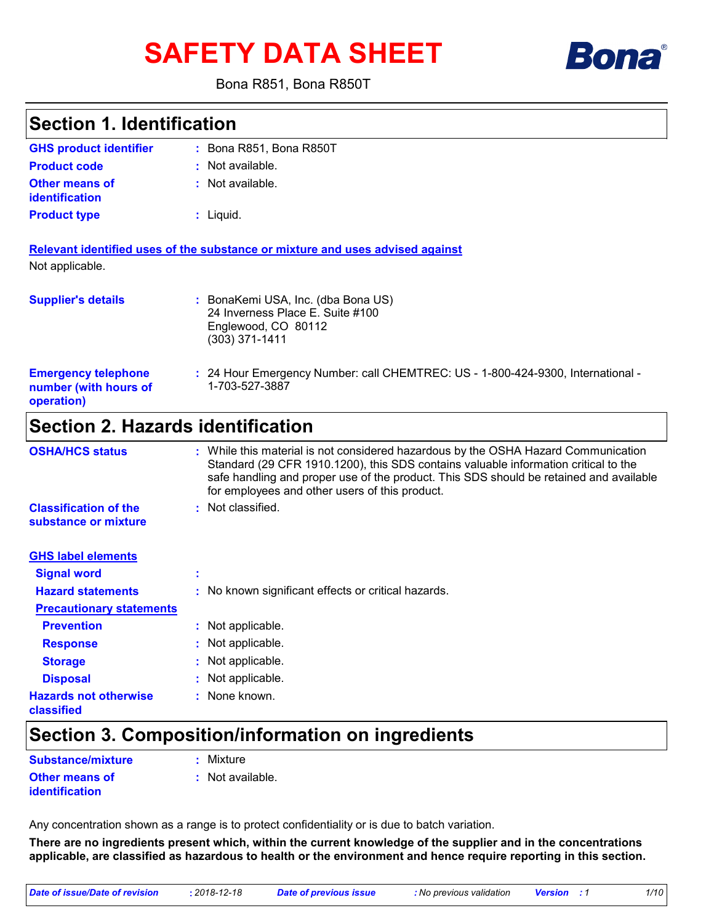# **SAFETY DATA SHEET**



Bona R851, Bona R850T

| <b>Section 1. Identification</b>                                  |                                                                                                                                                                                                                                                                                                                       |
|-------------------------------------------------------------------|-----------------------------------------------------------------------------------------------------------------------------------------------------------------------------------------------------------------------------------------------------------------------------------------------------------------------|
| <b>GHS product identifier</b>                                     | : Bona R851, Bona R850T                                                                                                                                                                                                                                                                                               |
| <b>Product code</b>                                               | : Not available.                                                                                                                                                                                                                                                                                                      |
| <b>Other means of</b><br>identification                           | : Not available.                                                                                                                                                                                                                                                                                                      |
| <b>Product type</b>                                               | $:$ Liquid.                                                                                                                                                                                                                                                                                                           |
|                                                                   | Relevant identified uses of the substance or mixture and uses advised against                                                                                                                                                                                                                                         |
| Not applicable.                                                   |                                                                                                                                                                                                                                                                                                                       |
| <b>Supplier's details</b>                                         | : BonaKemi USA, Inc. (dba Bona US)<br>24 Inverness Place E. Suite #100<br>Englewood, CO 80112<br>$(303)$ 371-1411                                                                                                                                                                                                     |
| <b>Emergency telephone</b><br>number (with hours of<br>operation) | : 24 Hour Emergency Number: call CHEMTREC: US - 1-800-424-9300, International -<br>1-703-527-3887                                                                                                                                                                                                                     |
| <b>Section 2. Hazards identification</b>                          |                                                                                                                                                                                                                                                                                                                       |
| <b>OSHA/HCS status</b>                                            | : While this material is not considered hazardous by the OSHA Hazard Communication<br>Standard (29 CFR 1910.1200), this SDS contains valuable information critical to the<br>safe handling and proper use of the product. This SDS should be retained and available<br>for employees and other users of this product. |
| <b>Classification of the</b><br>substance or mixture              | : Not classified.                                                                                                                                                                                                                                                                                                     |
| <b>GHS label elements</b>                                         |                                                                                                                                                                                                                                                                                                                       |
| <b>Signal word</b>                                                |                                                                                                                                                                                                                                                                                                                       |
| <b>Hazard statements</b>                                          | : No known significant effects or critical hazards.                                                                                                                                                                                                                                                                   |
| <b>Precautionary statements</b>                                   |                                                                                                                                                                                                                                                                                                                       |
| <b>Prevention</b>                                                 | : Not applicable.                                                                                                                                                                                                                                                                                                     |
| <b>Response</b>                                                   | Not applicable.                                                                                                                                                                                                                                                                                                       |
| <b>Storage</b>                                                    | Not applicable.                                                                                                                                                                                                                                                                                                       |
| <b>Disposal</b>                                                   | Not applicable.                                                                                                                                                                                                                                                                                                       |
| <b>Hazards not otherwise</b><br>classified                        | None known.                                                                                                                                                                                                                                                                                                           |

# **Section 3. Composition/information on ingredients**

| <b>Substance/mixture</b>                | : Mixture          |
|-----------------------------------------|--------------------|
| <b>Other means of</b><br>identification | $:$ Not available. |

Any concentration shown as a range is to protect confidentiality or is due to batch variation.

**There are no ingredients present which, within the current knowledge of the supplier and in the concentrations applicable, are classified as hazardous to health or the environment and hence require reporting in this section.**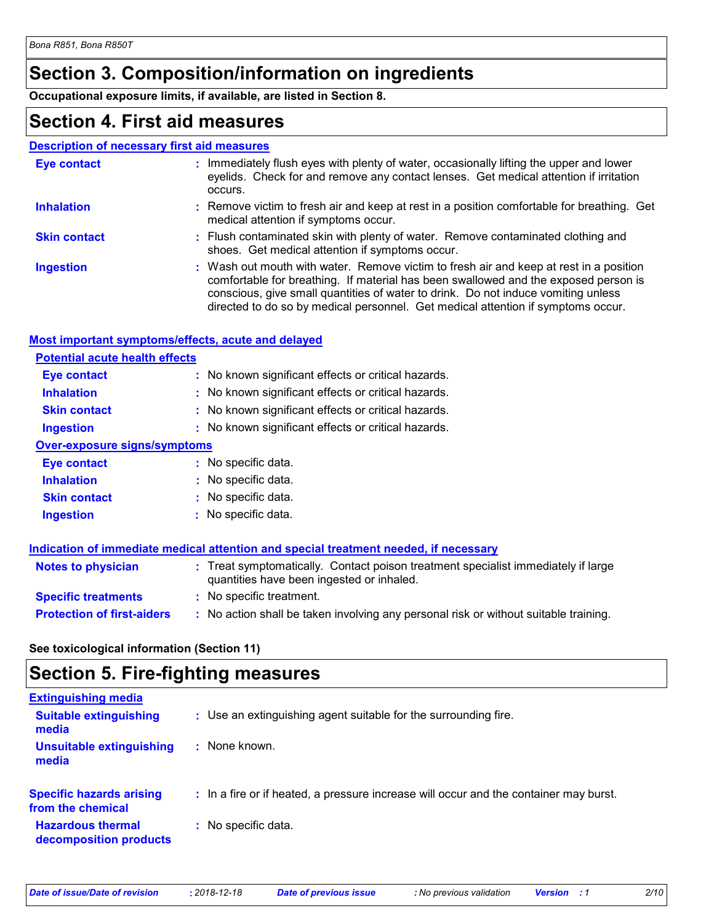# **Section 3. Composition/information on ingredients**

**Occupational exposure limits, if available, are listed in Section 8.**

### **Section 4. First aid measures**

#### **Description of necessary first aid measures**

| Eye contact         | : Immediately flush eyes with plenty of water, occasionally lifting the upper and lower<br>eyelids. Check for and remove any contact lenses. Get medical attention if irritation<br>occurs.                                                                                                                                                            |
|---------------------|--------------------------------------------------------------------------------------------------------------------------------------------------------------------------------------------------------------------------------------------------------------------------------------------------------------------------------------------------------|
| <b>Inhalation</b>   | : Remove victim to fresh air and keep at rest in a position comfortable for breathing. Get<br>medical attention if symptoms occur.                                                                                                                                                                                                                     |
| <b>Skin contact</b> | : Flush contaminated skin with plenty of water. Remove contaminated clothing and<br>shoes. Get medical attention if symptoms occur.                                                                                                                                                                                                                    |
| <b>Ingestion</b>    | : Wash out mouth with water. Remove victim to fresh air and keep at rest in a position<br>comfortable for breathing. If material has been swallowed and the exposed person is<br>conscious, give small quantities of water to drink. Do not induce vomiting unless<br>directed to do so by medical personnel. Get medical attention if symptoms occur. |

#### **Most important symptoms/effects, acute and delayed**

| <b>Potential acute health effects</b> |                                                     |
|---------------------------------------|-----------------------------------------------------|
| <b>Eye contact</b>                    | : No known significant effects or critical hazards. |
| <b>Inhalation</b>                     | : No known significant effects or critical hazards. |
| <b>Skin contact</b>                   | : No known significant effects or critical hazards. |
| <b>Ingestion</b>                      | : No known significant effects or critical hazards. |
| <b>Over-exposure signs/symptoms</b>   |                                                     |
| Eye contact                           | : No specific data.                                 |
| <b>Inhalation</b>                     | : No specific data.                                 |
| <b>Skin contact</b>                   | : No specific data.                                 |
| <b>Ingestion</b>                      | No specific data.                                   |

|                                   | Indication of immediate medical attention and special treatment needed, if necessary                                           |  |
|-----------------------------------|--------------------------------------------------------------------------------------------------------------------------------|--|
| <b>Notes to physician</b>         | : Treat symptomatically. Contact poison treatment specialist immediately if large<br>quantities have been ingested or inhaled. |  |
| <b>Specific treatments</b>        | : No specific treatment.                                                                                                       |  |
| <b>Protection of first-aiders</b> | : No action shall be taken involving any personal risk or without suitable training.                                           |  |

#### **See toxicological information (Section 11)**

### **Section 5. Fire-fighting measures**

| <b>Extinguishing media</b>                           |                                                                                       |
|------------------------------------------------------|---------------------------------------------------------------------------------------|
| <b>Suitable extinguishing</b><br>media               | : Use an extinguishing agent suitable for the surrounding fire.                       |
| <b>Unsuitable extinguishing</b><br>media             | : None known.                                                                         |
| <b>Specific hazards arising</b><br>from the chemical | : In a fire or if heated, a pressure increase will occur and the container may burst. |
| <b>Hazardous thermal</b><br>decomposition products   | : No specific data.                                                                   |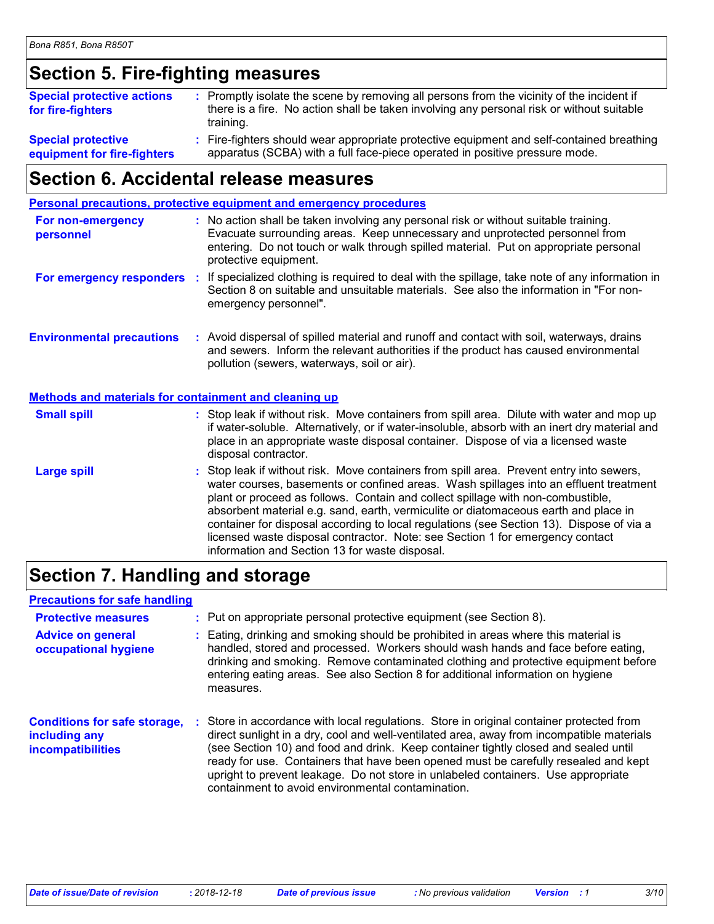### **Section 5. Fire-fighting measures**

| <b>Special protective actions</b><br>for fire-fighters | : Promptly isolate the scene by removing all persons from the vicinity of the incident if<br>there is a fire. No action shall be taken involving any personal risk or without suitable<br>training. |
|--------------------------------------------------------|-----------------------------------------------------------------------------------------------------------------------------------------------------------------------------------------------------|
| <b>Special protective</b>                              | : Fire-fighters should wear appropriate protective equipment and self-contained breathing                                                                                                           |
| equipment for fire-fighters                            | apparatus (SCBA) with a full face-piece operated in positive pressure mode.                                                                                                                         |

### **Section 6. Accidental release measures**

| Personal precautions, protective equipment and emergency procedures |  |                                                                                                                                                                                                                                                                                                                                                                                                                                                                                                                                                                                            |
|---------------------------------------------------------------------|--|--------------------------------------------------------------------------------------------------------------------------------------------------------------------------------------------------------------------------------------------------------------------------------------------------------------------------------------------------------------------------------------------------------------------------------------------------------------------------------------------------------------------------------------------------------------------------------------------|
| For non-emergency<br>personnel                                      |  | : No action shall be taken involving any personal risk or without suitable training.<br>Evacuate surrounding areas. Keep unnecessary and unprotected personnel from<br>entering. Do not touch or walk through spilled material. Put on appropriate personal<br>protective equipment.                                                                                                                                                                                                                                                                                                       |
|                                                                     |  | For emergency responders : If specialized clothing is required to deal with the spillage, take note of any information in<br>Section 8 on suitable and unsuitable materials. See also the information in "For non-<br>emergency personnel".                                                                                                                                                                                                                                                                                                                                                |
| <b>Environmental precautions</b>                                    |  | : Avoid dispersal of spilled material and runoff and contact with soil, waterways, drains<br>and sewers. Inform the relevant authorities if the product has caused environmental<br>pollution (sewers, waterways, soil or air).                                                                                                                                                                                                                                                                                                                                                            |
| Methods and materials for containment and cleaning up               |  |                                                                                                                                                                                                                                                                                                                                                                                                                                                                                                                                                                                            |
| <b>Small spill</b>                                                  |  | : Stop leak if without risk. Move containers from spill area. Dilute with water and mop up<br>if water-soluble. Alternatively, or if water-insoluble, absorb with an inert dry material and<br>place in an appropriate waste disposal container. Dispose of via a licensed waste<br>disposal contractor.                                                                                                                                                                                                                                                                                   |
| <b>Large spill</b>                                                  |  | : Stop leak if without risk. Move containers from spill area. Prevent entry into sewers,<br>water courses, basements or confined areas. Wash spillages into an effluent treatment<br>plant or proceed as follows. Contain and collect spillage with non-combustible,<br>absorbent material e.g. sand, earth, vermiculite or diatomaceous earth and place in<br>container for disposal according to local regulations (see Section 13). Dispose of via a<br>licensed waste disposal contractor. Note: see Section 1 for emergency contact<br>information and Section 13 for waste disposal. |

### **Section 7. Handling and storage**

#### **Advice on general occupational hygiene Conditions for safe storage, : including any incompatibilities** Eating, drinking and smoking should be prohibited in areas where this material is **:** handled, stored and processed. Workers should wash hands and face before eating, drinking and smoking. Remove contaminated clothing and protective equipment before entering eating areas. See also Section 8 for additional information on hygiene measures. Store in accordance with local regulations. Store in original container protected from direct sunlight in a dry, cool and well-ventilated area, away from incompatible materials (see Section 10) and food and drink. Keep container tightly closed and sealed until ready for use. Containers that have been opened must be carefully resealed and kept upright to prevent leakage. Do not store in unlabeled containers. Use appropriate containment to avoid environmental contamination. **Protective measures : Put on appropriate personal protective equipment (see Section 8). Precautions for safe handling**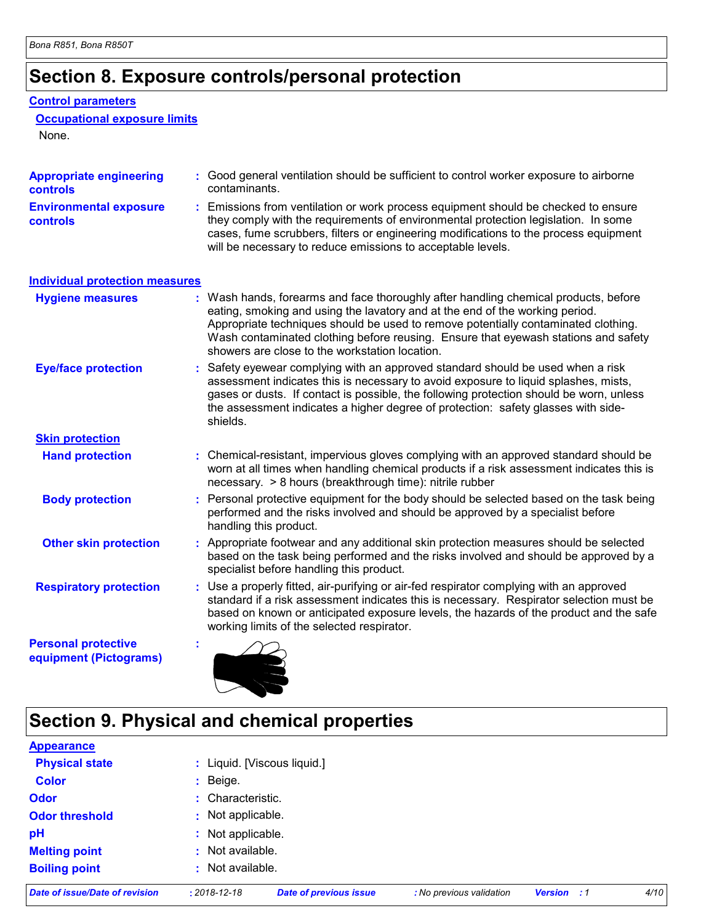# **Section 8. Exposure controls/personal protection**

#### **Control parameters**

**Occupational exposure limits**

None.

| <b>Appropriate engineering</b><br>controls           | : Good general ventilation should be sufficient to control worker exposure to airborne<br>contaminants.                                                                                                                                                                                                                                                                                         |
|------------------------------------------------------|-------------------------------------------------------------------------------------------------------------------------------------------------------------------------------------------------------------------------------------------------------------------------------------------------------------------------------------------------------------------------------------------------|
| <b>Environmental exposure</b><br><b>controls</b>     | : Emissions from ventilation or work process equipment should be checked to ensure<br>they comply with the requirements of environmental protection legislation. In some<br>cases, fume scrubbers, filters or engineering modifications to the process equipment<br>will be necessary to reduce emissions to acceptable levels.                                                                 |
| <b>Individual protection measures</b>                |                                                                                                                                                                                                                                                                                                                                                                                                 |
| <b>Hygiene measures</b>                              | Wash hands, forearms and face thoroughly after handling chemical products, before<br>eating, smoking and using the lavatory and at the end of the working period.<br>Appropriate techniques should be used to remove potentially contaminated clothing.<br>Wash contaminated clothing before reusing. Ensure that eyewash stations and safety<br>showers are close to the workstation location. |
| <b>Eye/face protection</b>                           | Safety eyewear complying with an approved standard should be used when a risk<br>assessment indicates this is necessary to avoid exposure to liquid splashes, mists,<br>gases or dusts. If contact is possible, the following protection should be worn, unless<br>the assessment indicates a higher degree of protection: safety glasses with side-<br>shields.                                |
| <b>Skin protection</b>                               |                                                                                                                                                                                                                                                                                                                                                                                                 |
| <b>Hand protection</b>                               | : Chemical-resistant, impervious gloves complying with an approved standard should be<br>worn at all times when handling chemical products if a risk assessment indicates this is<br>necessary. > 8 hours (breakthrough time): nitrile rubber                                                                                                                                                   |
| <b>Body protection</b>                               | Personal protective equipment for the body should be selected based on the task being<br>performed and the risks involved and should be approved by a specialist before<br>handling this product.                                                                                                                                                                                               |
| <b>Other skin protection</b>                         | : Appropriate footwear and any additional skin protection measures should be selected<br>based on the task being performed and the risks involved and should be approved by a<br>specialist before handling this product.                                                                                                                                                                       |
| <b>Respiratory protection</b>                        | : Use a properly fitted, air-purifying or air-fed respirator complying with an approved<br>standard if a risk assessment indicates this is necessary. Respirator selection must be<br>based on known or anticipated exposure levels, the hazards of the product and the safe<br>working limits of the selected respirator.                                                                      |
| <b>Personal protective</b><br>equipment (Pictograms) | ÷.                                                                                                                                                                                                                                                                                                                                                                                              |

# **Section 9. Physical and chemical properties**

| Date of issue/Date of revision | $: 2018 - 12 - 18$ | <b>Date of previous issue</b> | : No previous validation | <b>Version</b> | . . 1 | 4/10 |
|--------------------------------|--------------------|-------------------------------|--------------------------|----------------|-------|------|
| <b>Boiling point</b>           | : Not available.   |                               |                          |                |       |      |
| <b>Melting point</b>           | : Not available.   |                               |                          |                |       |      |
| pH                             | : Not applicable.  |                               |                          |                |       |      |
| <b>Odor threshold</b>          | : Not applicable.  |                               |                          |                |       |      |
| <b>Odor</b>                    | : Characteristic.  |                               |                          |                |       |      |
| <b>Color</b>                   | $:$ Beige.         |                               |                          |                |       |      |
| <b>Physical state</b>          |                    | : Liquid. [Viscous liquid.]   |                          |                |       |      |
| <b>Appearance</b>              |                    |                               |                          |                |       |      |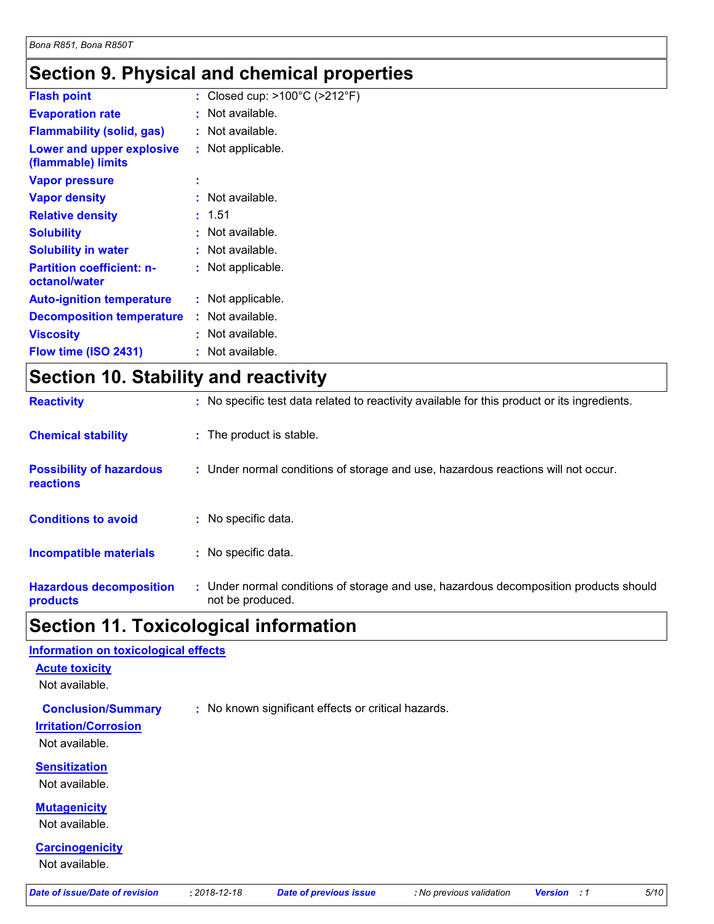### **Section 9. Physical and chemical properties**

| <b>Flash point</b>                                | : Closed cup: $>100^{\circ}$ C ( $>212^{\circ}$ F) |
|---------------------------------------------------|----------------------------------------------------|
| <b>Evaporation rate</b>                           | : Not available.                                   |
| <b>Flammability (solid, gas)</b>                  | : Not available.                                   |
| Lower and upper explosive<br>(flammable) limits   | : Not applicable.                                  |
| <b>Vapor pressure</b>                             | ٠                                                  |
| <b>Vapor density</b>                              | $:$ Not available.                                 |
| <b>Relative density</b>                           | : 1.51                                             |
| <b>Solubility</b>                                 | : Not available.                                   |
| <b>Solubility in water</b>                        | $:$ Not available.                                 |
| <b>Partition coefficient: n-</b><br>octanol/water | : Not applicable.                                  |
| <b>Auto-ignition temperature</b>                  | : Not applicable.                                  |
| <b>Decomposition temperature</b>                  | $:$ Not available.                                 |
| <b>Viscosity</b>                                  | : Not available.                                   |
| Flow time (ISO 2431)                              | : Not available.                                   |
|                                                   |                                                    |

# **Section 10. Stability and reactivity**

| <b>Reactivity</b>                            | : No specific test data related to reactivity available for this product or its ingredients.              |
|----------------------------------------------|-----------------------------------------------------------------------------------------------------------|
| <b>Chemical stability</b>                    | : The product is stable.                                                                                  |
| <b>Possibility of hazardous</b><br>reactions | : Under normal conditions of storage and use, hazardous reactions will not occur.                         |
| <b>Conditions to avoid</b>                   | : No specific data.                                                                                       |
| <b>Incompatible materials</b>                | : No specific data.                                                                                       |
| <b>Hazardous decomposition</b><br>products   | : Under normal conditions of storage and use, hazardous decomposition products should<br>not be produced. |

# **Section 11. Toxicological information**

| Information on toxicological effects  |                    |                                                     |                          |                      |      |
|---------------------------------------|--------------------|-----------------------------------------------------|--------------------------|----------------------|------|
| <b>Acute toxicity</b>                 |                    |                                                     |                          |                      |      |
| Not available.                        |                    |                                                     |                          |                      |      |
| <b>Conclusion/Summary</b>             |                    | : No known significant effects or critical hazards. |                          |                      |      |
| <b>Irritation/Corrosion</b>           |                    |                                                     |                          |                      |      |
| Not available.                        |                    |                                                     |                          |                      |      |
| <b>Sensitization</b>                  |                    |                                                     |                          |                      |      |
| Not available.                        |                    |                                                     |                          |                      |      |
| <b>Mutagenicity</b>                   |                    |                                                     |                          |                      |      |
| Not available.                        |                    |                                                     |                          |                      |      |
| <b>Carcinogenicity</b>                |                    |                                                     |                          |                      |      |
| Not available.                        |                    |                                                     |                          |                      |      |
| <b>Date of issue/Date of revision</b> | $: 2018 - 12 - 18$ | <b>Date of previous issue</b>                       | : No previous validation | <b>Version</b><br>:1 | 5/10 |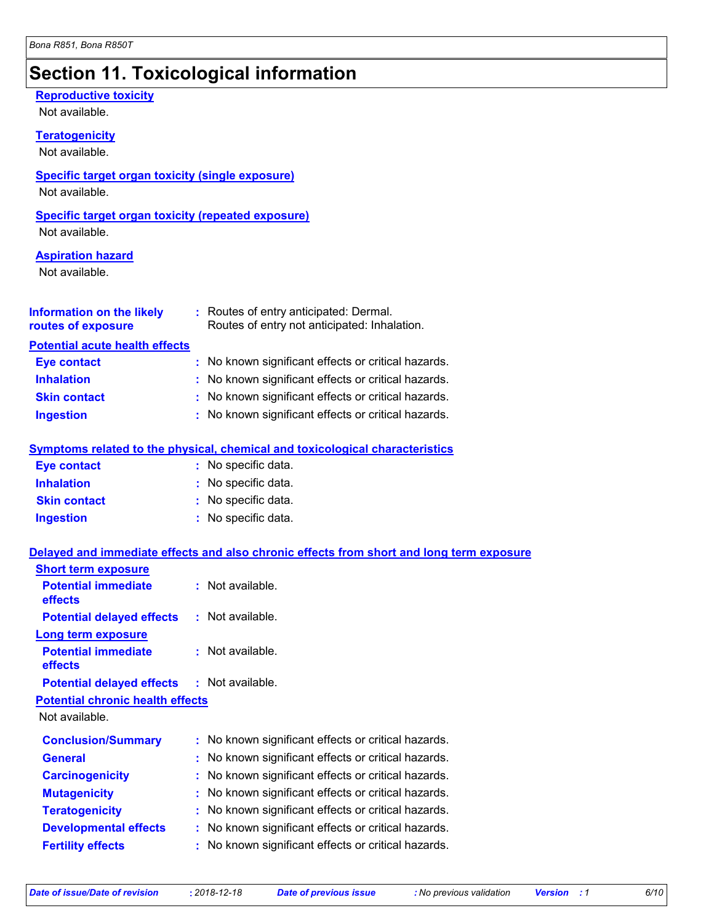# **Section 11. Toxicological information**

| <b>Reproductive toxicity</b>                                |    |                                                                                                                         |
|-------------------------------------------------------------|----|-------------------------------------------------------------------------------------------------------------------------|
| Not available.                                              |    |                                                                                                                         |
| <b>Teratogenicity</b>                                       |    |                                                                                                                         |
| Not available.                                              |    |                                                                                                                         |
| <b>Specific target organ toxicity (single exposure)</b>     |    |                                                                                                                         |
| Not available.                                              |    |                                                                                                                         |
| <b>Specific target organ toxicity (repeated exposure)</b>   |    |                                                                                                                         |
| Not available.                                              |    |                                                                                                                         |
| <b>Aspiration hazard</b>                                    |    |                                                                                                                         |
| Not available.                                              |    |                                                                                                                         |
|                                                             |    |                                                                                                                         |
|                                                             |    | <b>Information on the likely</b> : Routes of entry anticipated: Dermal.<br>Routes of entry not anticipated: Inhalation. |
| routes of exposure                                          |    |                                                                                                                         |
| <b>Potential acute health effects</b><br><b>Eye contact</b> |    | : No known significant effects or critical hazards.                                                                     |
| <b>Inhalation</b>                                           |    | : No known significant effects or critical hazards.                                                                     |
| <b>Skin contact</b>                                         |    | : No known significant effects or critical hazards.                                                                     |
| <b>Ingestion</b>                                            |    | : No known significant effects or critical hazards.                                                                     |
|                                                             |    |                                                                                                                         |
|                                                             |    | Symptoms related to the physical, chemical and toxicological characteristics                                            |
| <b>Eye contact</b>                                          |    | : No specific data.                                                                                                     |
| <b>Inhalation</b>                                           |    | : No specific data.                                                                                                     |
| <b>Skin contact</b>                                         |    | : No specific data.                                                                                                     |
| <b>Ingestion</b>                                            |    | : No specific data.                                                                                                     |
|                                                             |    | Delayed and immediate effects and also chronic effects from short and long term exposure                                |
| <b>Short term exposure</b>                                  |    |                                                                                                                         |
| <b>Potential immediate</b>                                  |    | : Not available.                                                                                                        |
| effects                                                     |    |                                                                                                                         |
| <b>Potential delayed effects</b>                            |    | : Not available.                                                                                                        |
| Long term exposure                                          |    |                                                                                                                         |
| <b>Potential immediate</b><br>effects                       |    | Not available.                                                                                                          |
| <b>Potential delayed effects</b>                            |    | Not available.                                                                                                          |
| <b>Potential chronic health effects</b>                     |    |                                                                                                                         |
| Not available.                                              |    |                                                                                                                         |
| <b>Conclusion/Summary</b>                                   | t. | No known significant effects or critical hazards.                                                                       |
| <b>General</b>                                              | t  | No known significant effects or critical hazards.                                                                       |
| <b>Carcinogenicity</b>                                      |    | No known significant effects or critical hazards.                                                                       |
| <b>Mutagenicity</b>                                         | t  | No known significant effects or critical hazards.                                                                       |
| <b>Teratogenicity</b>                                       |    | No known significant effects or critical hazards.                                                                       |
| <b>Developmental effects</b>                                |    | No known significant effects or critical hazards.                                                                       |
| <b>Fertility effects</b>                                    |    | No known significant effects or critical hazards.                                                                       |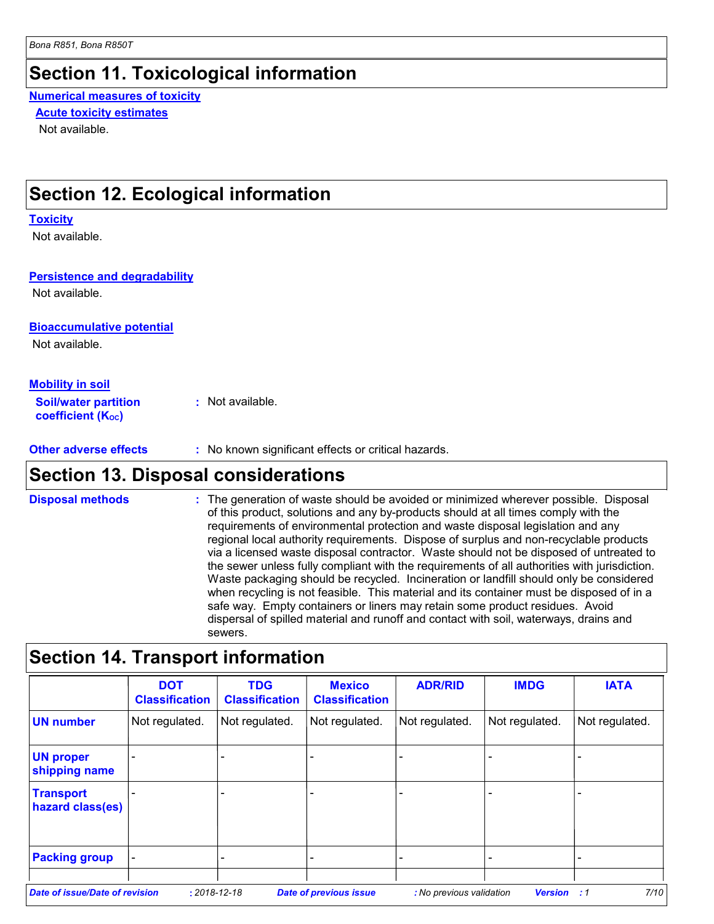### **Section 11. Toxicological information**

#### **Numerical measures of toxicity Acute toxicity estimates**

Not available.

### **Section 12. Ecological information**

#### **Toxicity**

Not available.

#### **Persistence and degradability**

Not available.

#### **Bioaccumulative potential**

Not available.

#### **Mobility in soil**

**Soil/water partition coefficient (KOC) :** Not available.

**Other adverse effects : No known significant effects or critical hazards.** 

### **Section 13. Disposal considerations**

The generation of waste should be avoided or minimized wherever possible. Disposal of this product, solutions and any by-products should at all times comply with the requirements of environmental protection and waste disposal legislation and any regional local authority requirements. Dispose of surplus and non-recyclable products via a licensed waste disposal contractor. Waste should not be disposed of untreated to the sewer unless fully compliant with the requirements of all authorities with jurisdiction. Waste packaging should be recycled. Incineration or landfill should only be considered when recycling is not feasible. This material and its container must be disposed of in a safe way. Empty containers or liners may retain some product residues. Avoid dispersal of spilled material and runoff and contact with soil, waterways, drains and sewers. **Disposal methods :**

### **Section 14. Transport information**

|                                       | <b>DOT</b><br><b>Classification</b> | <b>TDG</b><br><b>Classification</b> | <b>Mexico</b><br><b>Classification</b> | <b>ADR/RID</b>           | <b>IMDG</b>    | <b>IATA</b>    |
|---------------------------------------|-------------------------------------|-------------------------------------|----------------------------------------|--------------------------|----------------|----------------|
| <b>UN number</b>                      | Not regulated.                      | Not regulated.                      | Not regulated.                         | Not regulated.           | Not regulated. | Not regulated. |
| <b>UN proper</b><br>shipping name     | $\qquad \qquad -$                   |                                     |                                        |                          |                |                |
| <b>Transport</b><br>hazard class(es)  |                                     |                                     |                                        |                          |                |                |
| <b>Packing group</b>                  |                                     |                                     |                                        |                          |                |                |
| <b>Date of issue/Date of revision</b> |                                     | $: 2018 - 12 - 18$                  | <b>Date of previous issue</b>          | : No previous validation | <b>Version</b> | 7/10<br>:1     |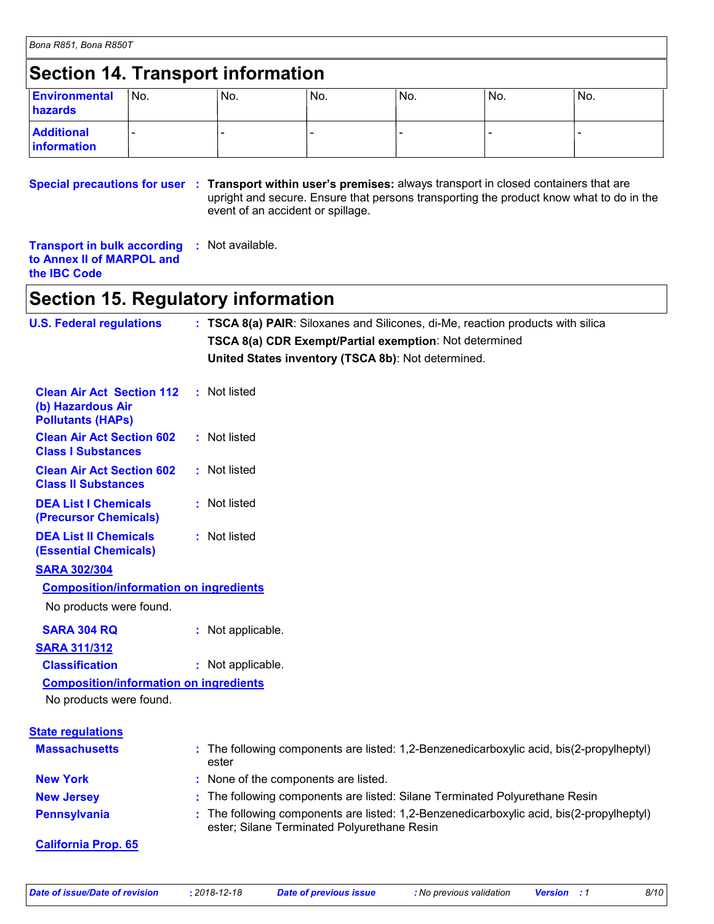# **Section 14. Transport information**

| <b>Environmental</b><br>hazards  | INo. | No. | No. | INo. | No. | !No. |
|----------------------------------|------|-----|-----|------|-----|------|
| <b>Additional</b><br>information |      |     |     |      |     |      |

#### **Special precautions for user** : Transport within user's premises: always transport in closed containers that are upright and secure. Ensure that persons transporting the product know what to do in the event of an accident or spillage.

| <b>Transport in bulk according : Not available.</b> |  |
|-----------------------------------------------------|--|
| to Annex II of MARPOL and                           |  |
| the <b>IBC</b> Code                                 |  |

### **Section 15. Regulatory information**

| <b>U.S. Federal regulations</b>                                                   | : TSCA 8(a) PAIR: Siloxanes and Silicones, di-Me, reaction products with silica                                                         |
|-----------------------------------------------------------------------------------|-----------------------------------------------------------------------------------------------------------------------------------------|
|                                                                                   | TSCA 8(a) CDR Exempt/Partial exemption: Not determined                                                                                  |
|                                                                                   | United States inventory (TSCA 8b): Not determined.                                                                                      |
| <b>Clean Air Act Section 112</b><br>(b) Hazardous Air<br><b>Pollutants (HAPs)</b> | : Not listed                                                                                                                            |
| <b>Clean Air Act Section 602</b><br><b>Class I Substances</b>                     | : Not listed                                                                                                                            |
| <b>Clean Air Act Section 602</b><br><b>Class II Substances</b>                    | : Not listed                                                                                                                            |
| <b>DEA List I Chemicals</b><br>(Precursor Chemicals)                              | : Not listed                                                                                                                            |
| <b>DEA List II Chemicals</b><br><b>(Essential Chemicals)</b>                      | : Not listed                                                                                                                            |
| <b>SARA 302/304</b>                                                               |                                                                                                                                         |
| <b>Composition/information on ingredients</b>                                     |                                                                                                                                         |
| No products were found.                                                           |                                                                                                                                         |
| <b>SARA 304 RQ</b>                                                                | : Not applicable.                                                                                                                       |
| <b>SARA 311/312</b>                                                               |                                                                                                                                         |
| <b>Classification</b>                                                             | : Not applicable.                                                                                                                       |
| <b>Composition/information on ingredients</b>                                     |                                                                                                                                         |
| No products were found.                                                           |                                                                                                                                         |
| <b>State regulations</b>                                                          |                                                                                                                                         |
| <b>Massachusetts</b>                                                              | : The following components are listed: 1,2-Benzenedicarboxylic acid, bis(2-propylheptyl)<br>ester                                       |
| <b>New York</b>                                                                   | : None of the components are listed.                                                                                                    |
| <b>New Jersey</b>                                                                 | : The following components are listed: Silane Terminated Polyurethane Resin                                                             |
| <b>Pennsylvania</b>                                                               | : The following components are listed: 1,2-Benzenedicarboxylic acid, bis(2-propylheptyl)<br>ester; Silane Terminated Polyurethane Resin |
| <b>California Prop. 65</b>                                                        |                                                                                                                                         |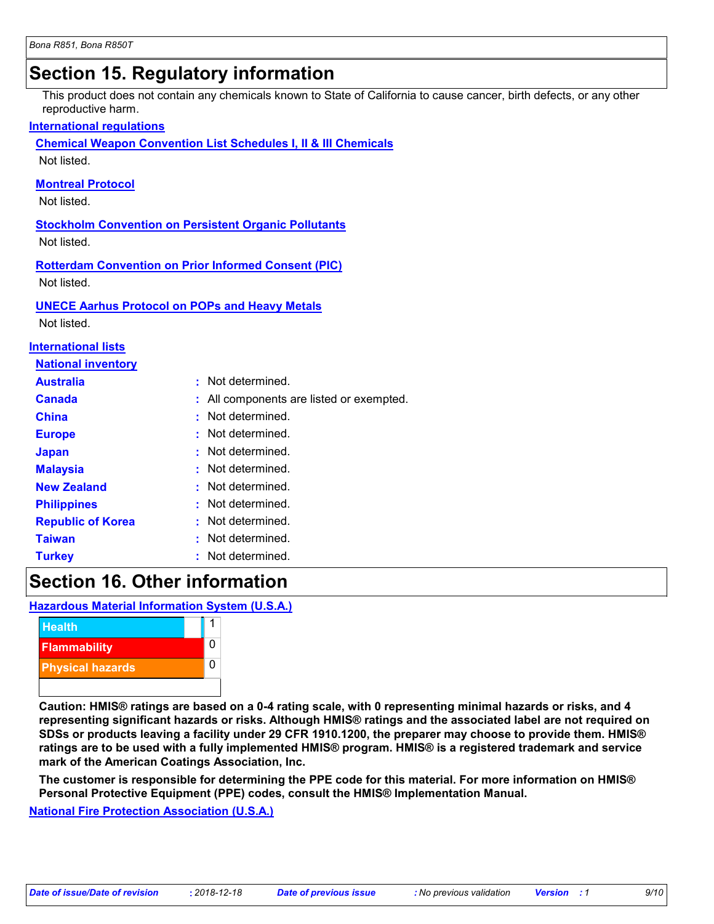# **Section 15. Regulatory information**

This product does not contain any chemicals known to State of California to cause cancer, birth defects, or any other reproductive harm.

#### **International regulations**

**Chemical Weapon Convention List Schedules I, II & III Chemicals**

Not listed.

#### **Montreal Protocol**

Not listed.

### **Stockholm Convention on Persistent Organic Pollutants**

Not listed.

#### **Rotterdam Convention on Prior Informed Consent (PIC)**

Not listed.

#### **UNECE Aarhus Protocol on POPs and Heavy Metals**

Not listed.

#### **International lists**

| <b>National inventory</b> |                                          |
|---------------------------|------------------------------------------|
| <b>Australia</b>          | : Not determined.                        |
| <b>Canada</b>             | : All components are listed or exempted. |
| <b>China</b>              | : Not determined.                        |
| <b>Europe</b>             | : Not determined.                        |
| <b>Japan</b>              | : Not determined.                        |
| <b>Malaysia</b>           | : Not determined.                        |
| <b>New Zealand</b>        | : Not determined.                        |
| <b>Philippines</b>        | : Not determined.                        |
| <b>Republic of Korea</b>  | : Not determined.                        |
| <b>Taiwan</b>             | : Not determined.                        |
| <b>Turkey</b>             | : Not determined.                        |

### **Section 16. Other information**

**Hazardous Material Information System (U.S.A.)**



**Caution: HMIS® ratings are based on a 0-4 rating scale, with 0 representing minimal hazards or risks, and 4 representing significant hazards or risks. Although HMIS® ratings and the associated label are not required on SDSs or products leaving a facility under 29 CFR 1910.1200, the preparer may choose to provide them. HMIS® ratings are to be used with a fully implemented HMIS® program. HMIS® is a registered trademark and service mark of the American Coatings Association, Inc.**

**The customer is responsible for determining the PPE code for this material. For more information on HMIS® Personal Protective Equipment (PPE) codes, consult the HMIS® Implementation Manual.**

**National Fire Protection Association (U.S.A.)**